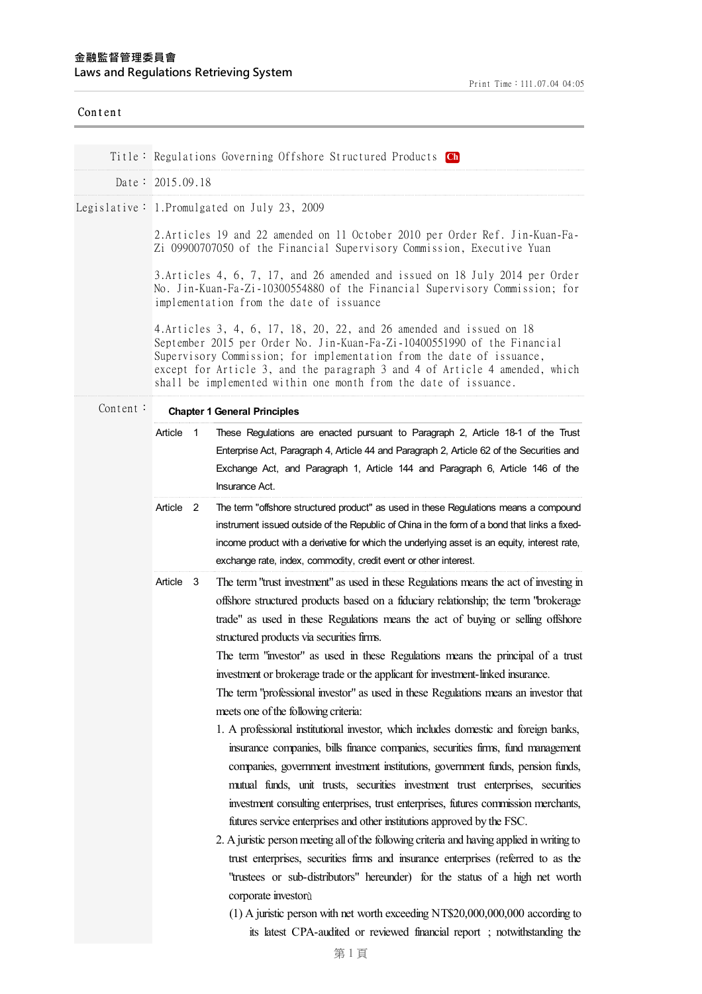| Content  |                                                                                                                                                                                                                                                                                                                                                                                                                                                                                                                                                                                                                                                                                                                                                                                                                                                                                                                                                                                                                                                                                                                                                                                                                                                                                                                                                                                                                                                                                                                                                                                                                   |  |  |
|----------|-------------------------------------------------------------------------------------------------------------------------------------------------------------------------------------------------------------------------------------------------------------------------------------------------------------------------------------------------------------------------------------------------------------------------------------------------------------------------------------------------------------------------------------------------------------------------------------------------------------------------------------------------------------------------------------------------------------------------------------------------------------------------------------------------------------------------------------------------------------------------------------------------------------------------------------------------------------------------------------------------------------------------------------------------------------------------------------------------------------------------------------------------------------------------------------------------------------------------------------------------------------------------------------------------------------------------------------------------------------------------------------------------------------------------------------------------------------------------------------------------------------------------------------------------------------------------------------------------------------------|--|--|
|          | Title: Regulations Governing Offshore Structured Products Ch                                                                                                                                                                                                                                                                                                                                                                                                                                                                                                                                                                                                                                                                                                                                                                                                                                                                                                                                                                                                                                                                                                                                                                                                                                                                                                                                                                                                                                                                                                                                                      |  |  |
|          | Date: $2015.09.18$                                                                                                                                                                                                                                                                                                                                                                                                                                                                                                                                                                                                                                                                                                                                                                                                                                                                                                                                                                                                                                                                                                                                                                                                                                                                                                                                                                                                                                                                                                                                                                                                |  |  |
|          | Legislative: 1. Promulgated on July 23, 2009                                                                                                                                                                                                                                                                                                                                                                                                                                                                                                                                                                                                                                                                                                                                                                                                                                                                                                                                                                                                                                                                                                                                                                                                                                                                                                                                                                                                                                                                                                                                                                      |  |  |
|          |                                                                                                                                                                                                                                                                                                                                                                                                                                                                                                                                                                                                                                                                                                                                                                                                                                                                                                                                                                                                                                                                                                                                                                                                                                                                                                                                                                                                                                                                                                                                                                                                                   |  |  |
|          | 2. Articles 19 and 22 amended on 11 October 2010 per Order Ref. Jin-Kuan-Fa-<br>Zi 09900707050 of the Financial Supervisory Commission, Executive Yuan                                                                                                                                                                                                                                                                                                                                                                                                                                                                                                                                                                                                                                                                                                                                                                                                                                                                                                                                                                                                                                                                                                                                                                                                                                                                                                                                                                                                                                                            |  |  |
|          | 3. Articles 4, 6, 7, 17, and 26 amended and issued on 18 July 2014 per Order<br>No. Jin-Kuan-Fa-Zi-10300554880 of the Financial Supervisory Commission; for<br>implementation from the date of issuance                                                                                                                                                                                                                                                                                                                                                                                                                                                                                                                                                                                                                                                                                                                                                                                                                                                                                                                                                                                                                                                                                                                                                                                                                                                                                                                                                                                                           |  |  |
|          | 4. Articles 3, 4, 6, 17, 18, 20, 22, and 26 amended and issued on 18<br>September 2015 per Order No. Jin-Kuan-Fa-Zi-10400551990 of the Financial<br>Supervisory Commission; for implementation from the date of issuance,<br>except for Article 3, and the paragraph 3 and 4 of Article 4 amended, which<br>shall be implemented within one month from the date of issuance.                                                                                                                                                                                                                                                                                                                                                                                                                                                                                                                                                                                                                                                                                                                                                                                                                                                                                                                                                                                                                                                                                                                                                                                                                                      |  |  |
| Content: | <b>Chapter 1 General Principles</b>                                                                                                                                                                                                                                                                                                                                                                                                                                                                                                                                                                                                                                                                                                                                                                                                                                                                                                                                                                                                                                                                                                                                                                                                                                                                                                                                                                                                                                                                                                                                                                               |  |  |
|          | Article<br>$\overline{1}$<br>These Regulations are enacted pursuant to Paragraph 2, Article 18-1 of the Trust                                                                                                                                                                                                                                                                                                                                                                                                                                                                                                                                                                                                                                                                                                                                                                                                                                                                                                                                                                                                                                                                                                                                                                                                                                                                                                                                                                                                                                                                                                     |  |  |
|          | Enterprise Act, Paragraph 4, Article 44 and Paragraph 2, Article 62 of the Securities and<br>Exchange Act, and Paragraph 1, Article 144 and Paragraph 6, Article 146 of the<br>Insurance Act.                                                                                                                                                                                                                                                                                                                                                                                                                                                                                                                                                                                                                                                                                                                                                                                                                                                                                                                                                                                                                                                                                                                                                                                                                                                                                                                                                                                                                     |  |  |
|          | Article 2<br>The term "offshore structured product" as used in these Regulations means a compound<br>instrument issued outside of the Republic of China in the form of a bond that links a fixed-<br>income product with a derivative for which the underlying asset is an equity, interest rate,<br>exchange rate, index, commodity, credit event or other interest.                                                                                                                                                                                                                                                                                                                                                                                                                                                                                                                                                                                                                                                                                                                                                                                                                                                                                                                                                                                                                                                                                                                                                                                                                                             |  |  |
|          | Article<br>The term "trust investment" as used in these Regulations means the act of investing in<br>-3<br>offshore structured products based on a fiduciary relationship; the term "brokerage<br>trade" as used in these Regulations means the act of buying or selling offshore<br>structured products via securities firms.<br>The term "investor" as used in these Regulations means the principal of a trust<br>investment or brokerage trade or the applicant for investment-linked insurance.<br>The term "professional investor" as used in these Regulations means an investor that<br>meets one of the following criteria:<br>1. A professional institutional investor, which includes domestic and foreign banks,<br>insurance companies, bills finance companies, securities firms, fund management<br>companies, government investment institutions, government funds, pension funds,<br>mutual funds, unit trusts, securities investment trust enterprises, securities<br>investment consulting enterprises, trust enterprises, futures commission merchants,<br>futures service enterprises and other institutions approved by the FSC.<br>2. A juristic person meeting all of the following criteria and having applied in writing to<br>trust enterprises, securities firms and insurance enterprises (referred to as the<br>"trustees or sub-distributors" hereunder) for the status of a high net worth<br>corporate investorù<br>$(1)$ A juristic person with net worth exceeding NT\$20,000,000,000 according to<br>its latest CPA-audited or reviewed financial report; notwithstanding the |  |  |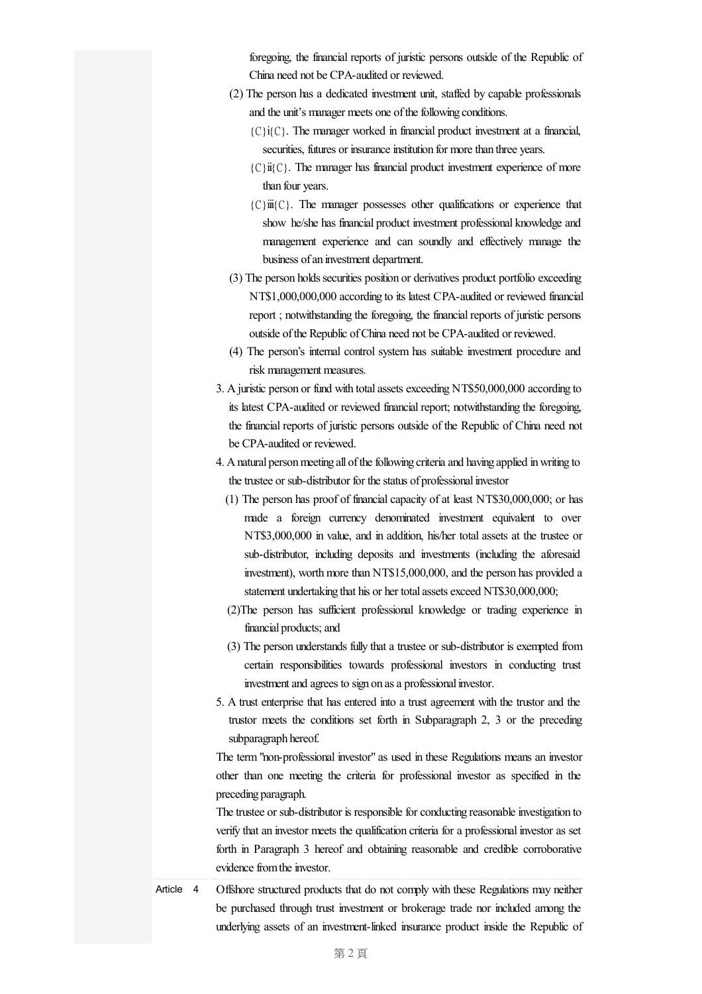foregoing, the financial reports of juristic persons outside of the Republic of China need not be CPA-audited or reviewed.

- (2) The person has a dedicated investment unit, staffed by capable professionals and the unit's manager meets one of the following conditions.
	- ${C}$ i ${C}$ . The manager worked in financial product investment at a financial, securities, futures or insurance institution for more than three years.
	- ${C}$ ii ${C}$ . The manager has financial product investment experience of more than four years.
	- ${C}$ iii ${C}$ . The manager possesses other qualifications or experience that show he/she has financial product investment professional knowledge and management experience and can soundly and effectively manage the business of an investment department.
- (3) The person holds securities position or derivatives product portfolio exceeding NT\$1,000,000,000 according to its latest CPA-audited or reviewed financial report ; notwithstanding the foregoing, the financial reports of juristic persons outside of the Republic of China need not be CPA-audited or reviewed.
- (4) The person's internal control system has suitable investment procedure and risk management measures.
- 3. Ajuristic person or fund with totalassets exceeding NT\$50,000,000 according to its latest CPA-audited or reviewed financial report; notwithstanding the foregoing, the financial reports of juristic persons outside of the Republic of China need not be CPA-audited or reviewed.
- 4. A natural person meeting all of the following criteria and having applied in writing to the trustee or sub-distributor for the status of professional investor
	- (1) The person has proof of financial capacity of at least NT\$30,000,000; or has made a foreign currency denominated investment equivalent to over NT\$3,000,000 in value, and in addition, his/her total assets at the trustee or sub-distributor, including deposits and investments (including the aforesaid investment), worth more than NT\$15,000,000, and the person has provided a statement undertaking that his or her total assets exceed NT\$30,000,000;
	- (2)The person has sufficient professional knowledge or trading experience in financial products;and
	- (3) The person understands fully that a trustee or sub-distributor is exempted from certain responsibilities towards professional investors in conducting trust investment and agrees to sign on as a professional investor.
- 5. A trust enterprise that has entered into a trust agreement with the trustor and the trustor meets the conditions set forth in Subparagraph 2, 3 or the preceding subparagraph hereof.

The term"non-professional investor"as used in these Regulations means an investor other than one meeting the criteria for professional investor as specified in the preceding paragraph.

The trustee or sub-distributor is responsible for conducting reasonable investigation to verify that an investor meets the qualification criteria for a professional investor as set forth in Paragraph 3 hereof and obtaining reasonable and credible corroborative evidence from the investor.

Article 4 Offshore structured products that do not comply with these Regulations may neither be purchased through trust investment or brokerage trade nor included among the underlying assets of an investment-linked insurance product inside the Republic of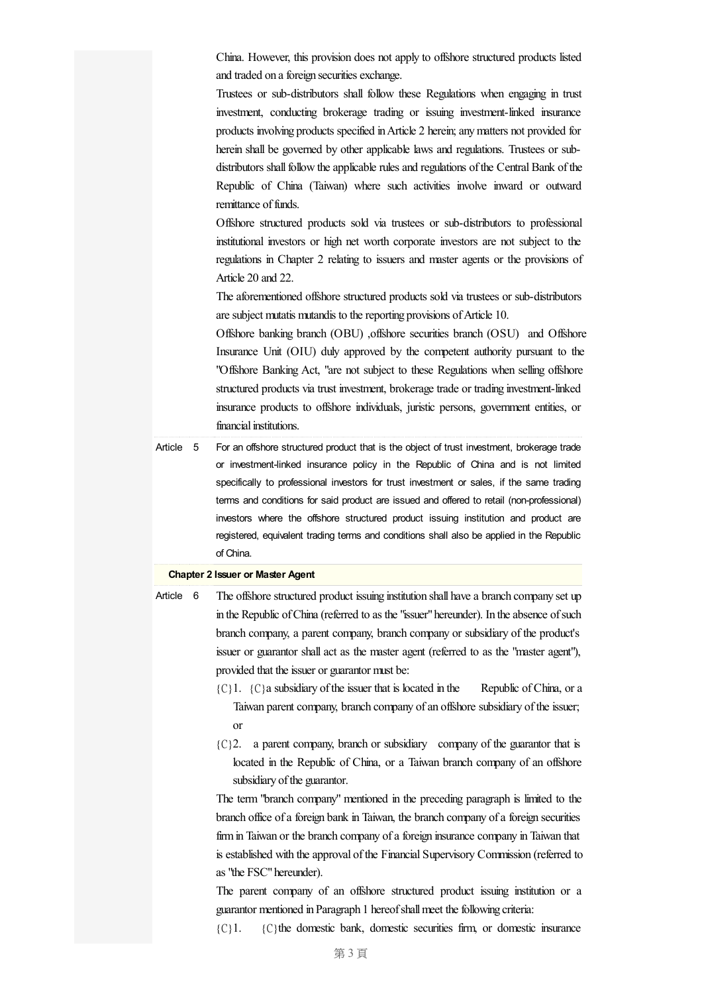China. However, this provision does not apply to offshore structured products listed and traded on a foreign securities exchange.

Trustees or sub-distributors shall follow these Regulations when engaging in trust investment, conducting brokerage trading or issuing investment-linked insurance products involving products specified inArticle 2 herein;anymatters not provided for herein shall be governed by other applicable laws and regulations. Trustees or subdistributors shall follow the applicable rules and regulations of the Central Bank of the Republic of China (Taiwan) where such activities involve inward or outward remittance of funds.

Offshore structured products sold via trustees or sub-distributors to professional institutional investors or high net worth corporate investors are not subject to the regulations in Chapter 2 relating to issuers and master agents or the provisions of Article 20 and 22.

The aforementioned offshore structured products sold via trustees or sub-distributors are subject mutatis mutandis to the reporting provisions of Article 10.

Offshore banking branch (OBU) ,offshore securities branch (OSU) and Offshore Insurance Unit (OIU) duly approved by the competent authority pursuant to the "Offshore Banking Act, "are not subject to these Regulations when selling offshore structured products via trust investment, brokerage trade or trading investment-linked insurance products to offshore individuals, juristic persons, government entities, or financial institutions.

Article 5 For an offshore structured product that is the object of trust investment, brokerage trade or investment-linked insurance policy in the Republic of China and is not limited specifically to professional investors for trust investment or sales, if the same trading terms and conditions for said product are issued and offered to retail (non-professional) investors where the offshore structured product issuing institution and product are registered, equivalent trading terms and conditions shall also be applied in the Republic of China.

## **Chapter 2 Issuer or Master Agent**

- Article 6 The offshore structured product issuing institution shall have a branch company set up in the Republic of China (referred to as the "issuer" hereunder). In the absence of such branch company, a parent company, branch company or subsidiary of the product's issuer or guarantor shallact as the master agent (referred to as the "master agent"), provided that the issuer or guarantor must be:
	- ${C}$ 1.  ${C}$  a subsidiary of the issuer that is located in the Republic of China, or a Taiwan parent company, branch company of an offshore subsidiary of the issuer; or
	- ${C}$ ? a parent company, branch or subsidiary company of the guarantor that is located in the Republic of China, or a Taiwan branch company of an offshore subsidiary of the guarantor.

The term "branch company" mentioned in the preceding paragraph is limited to the branch office of a foreign bank in Taiwan, the branch company of a foreign securities firm in Taiwan or the branch company of a foreign insurance company in Taiwan that is established with the approval of the Financial Supervisory Commission (referred to as"the FSC"hereunder).

The parent company of an offshore structured product issuing institution or a guarantor mentioned in Paragraph 1 hereof shall meet the following criteria:

{C}1. {C}the domestic bank, domestic securities firm, or domestic insurance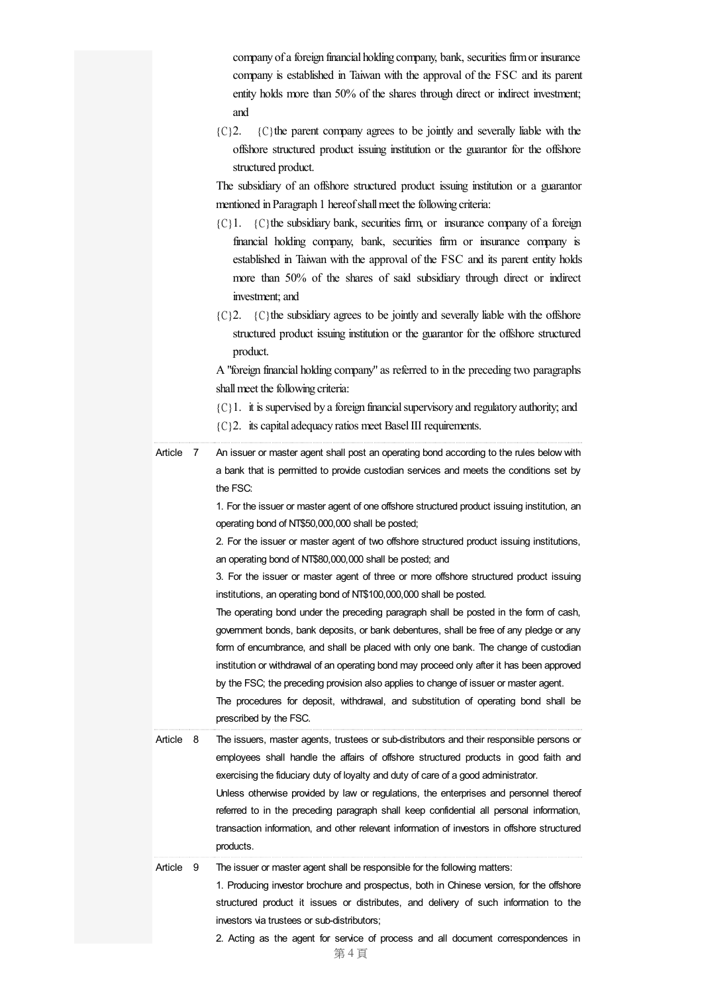company of a foreign financial holding company, bank, securities firm or insurance company is established in Taiwan with the approval of the FSC and its parent entity holds more than 50% of the shares through direct or indirect investment; and

 ${C}$ ?2.  ${C}$  the parent company agrees to be jointly and severally liable with the offshore structured product issuing institution or the guarantor for the offshore structured product.

The subsidiary of an offshore structured product issuing institution or a guarantor mentioned in Paragraph 1 hereof shall meet the following criteria:

- ${C}$ 1.  ${C}$  the subsidiary bank, securities firm, or insurance company of a foreign financial holding company, bank, securities firm or insurance company is established in Taiwan with the approval of the FSC and its parent entity holds more than 50% of the shares of said subsidiary through direct or indirect investment; and
- ${C}$  2.  ${C}$  the subsidiary agrees to be jointly and severally liable with the offshore structured product issuing institution or the guarantor for the offshore structured product.

A "foreign financial holding company"as referred to in the preceding two paragraphs shall meet the following criteria:

- ${C}$ 1. it is supervised by a foreign financial supervisory and regulatory authority; and
- ${C}$  2. its capital adequacy ratios meet Basel III requirements.

Article 7 An issuer or master agent shall post an operating bond according to the rules below with a bank that is permitted to provide custodian services and meets the conditions set by the FSC:

> 1. For the issuer or master agent of one offshore structured product issuing institution, an operating bond of NT\$50,000,000 shall be posted;

> 2. For the issuer or master agent of two offshore structured product issuing institutions, an operating bond of NT\$80,000,000 shall be posted; and

> 3. For the issuer or master agent of three or more offshore structured product issuing institutions, an operating bond of NT\$100,000,000 shall be posted.

> The operating bond under the preceding paragraph shall be posted in the form of cash, government bonds, bank deposits, or bank debentures, shall be free of any pledge or any form of encumbrance, and shall be placed with only one bank. The change of custodian institution or withdrawal of an operating bond may proceed only after it has been approved by the FSC; the preceding provision also applies to change of issuer or master agent.

The procedures for deposit, withdrawal, and substitution of operating bond shall be prescribed by the FSC.

Article 8 The issuers, master agents, trustees or sub-distributors and their responsible persons or employees shall handle the affairs of offshore structured products in good faith and exercising the fiduciary duty of loyalty and duty of care of a good administrator.

Unless otherwise provided by law or regulations, the enterprises and personnel thereof referred to in the preceding paragraph shall keep confidential all personal information, transaction information, and other relevant information of investors in offshore structured products.

Article 9 The issuer or master agent shall be responsible for the following matters:

1. Producing investor brochure and prospectus, both in Chinese version, for the offshore structured product it issues or distributes, and delivery of such information to the investors via trustees or sub-distributors;

2. Acting as the agent for service of process and all document correspondences in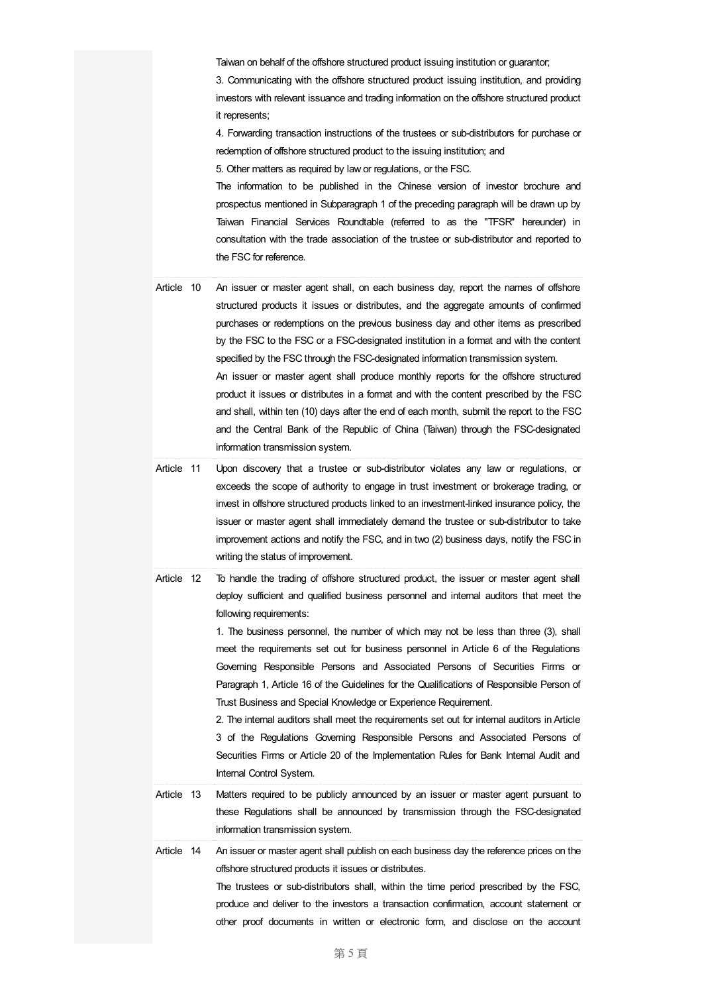Taiwan on behalf of the offshore structured product issuing institution or guarantor; 3. Communicating with the offshore structured product issuing institution, and providing investors with relevant issuance and trading information on the offshore structured product it represents;

4. Forwarding transaction instructions of the trustees or sub-distributors for purchase or redemption of offshore structured product to the issuing institution; and

5. Other matters as required by law or regulations, or the FSC.

The information to be published in the Chinese version of investor brochure and prospectus mentioned in Subparagraph 1 of the preceding paragraph will be drawn up by Taiwan Financial Services Roundtable (referred to as the "TFSR" hereunder) in consultation with the trade association of the trustee or sub-distributor and reported to the FSC for reference.

- Article 10 An issuer or master agent shall, on each business day, report the names of offshore structured products it issues or distributes, and the aggregate amounts of confirmed purchases or redemptions on the previous business day and other items as prescribed by the FSC to the FSC or a FSC-designated institution in a format and with the content specified by the FSC through the FSC-designated information transmission system. An issuer or master agent shall produce monthly reports for the offshore structured product it issues or distributes in a format and with the content prescribed by the FSC and shall, within ten (10) days after the end of each month, submit the report to the FSC and the Central Bank of the Republic of China (Taiwan) through the FSC-designated information transmission system.
- Article 11 Upon discovery that a trustee or sub-distributor violates any law or regulations, or exceeds the scope of authority to engage in trust investment or brokerage trading, or invest in offshore structured products linked to an investment-linked insurance policy, the issuer or master agent shall immediately demand the trustee or sub-distributor to take improvement actions and notify the FSC, and in two (2) business days, notify the FSC in writing the status of improvement.
- Article 12 To handle the trading of offshore structured product, the issuer or master agent shall deploy sufficient and qualified business personnel and internal auditors that meet the following requirements:

1. The business personnel, the number of which may not be less than three (3), shall meet the requirements set out for business personnel in Article 6 of the Regulations Governing Responsible Persons and Associated Persons of Securities Firms or Paragraph 1, Article 16 of the Guidelines for the Qualifications of Responsible Person of Trust Business and Special Knowledge or Experience Requirement.

2. The internal auditors shall meet the requirements set out for internal auditors in Article 3 of the Regulations Governing Responsible Persons and Associated Persons of Securities Firms or Article 20 of the Implementation Rules for Bank Internal Audit and Internal Control System.

- Article 13 Matters required to be publicly announced by an issuer or master agent pursuant to these Regulations shall be announced by transmission through the FSC-designated information transmission system.
- Article 14 An issuer or master agent shall publish on each business day the reference prices on the offshore structured products it issues or distributes.

The trustees or sub-distributors shall, within the time period prescribed by the FSC, produce and deliver to the investors a transaction confirmation, account statement or other proof documents in written or electronic form, and disclose on the account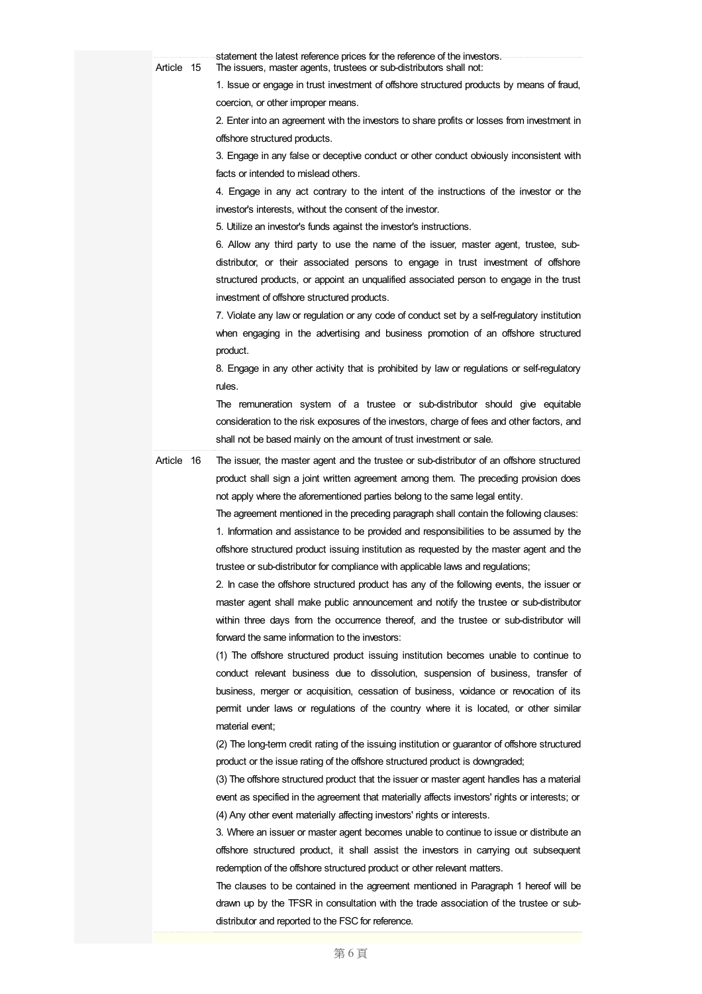| Article 15 | statement the latest reference prices for the reference of the investors.<br>The issuers, master agents, trustees or sub-distributors shall not: |
|------------|--------------------------------------------------------------------------------------------------------------------------------------------------|
|            | 1. Issue or engage in trust investment of offshore structured products by means of fraud,                                                        |
|            | coercion, or other improper means.                                                                                                               |
|            | 2. Enter into an agreement with the investors to share profits or losses from investment in                                                      |
|            | offshore structured products.                                                                                                                    |
|            | 3. Engage in any false or deceptive conduct or other conduct obviously inconsistent with                                                         |
|            | facts or intended to mislead others.                                                                                                             |
|            | 4. Engage in any act contrary to the intent of the instructions of the investor or the                                                           |
|            | investor's interests, without the consent of the investor.                                                                                       |
|            | 5. Utilize an investor's funds against the investor's instructions.                                                                              |
|            | 6. Allow any third party to use the name of the issuer, master agent, trustee, sub-                                                              |
|            | distributor, or their associated persons to engage in trust investment of offshore                                                               |
|            | structured products, or appoint an unqualified associated person to engage in the trust                                                          |
|            | investment of offshore structured products.                                                                                                      |
|            | 7. Violate any law or regulation or any code of conduct set by a self-regulatory institution                                                     |
|            | when engaging in the advertising and business promotion of an offshore structured                                                                |
|            | product.                                                                                                                                         |
|            | 8. Engage in any other activity that is prohibited by law or regulations or self-regulatory                                                      |
|            | rules.                                                                                                                                           |
|            | The remuneration system of a trustee or sub-distributor should give equitable                                                                    |
|            | consideration to the risk exposures of the investors, charge of fees and other factors, and                                                      |
|            | shall not be based mainly on the amount of trust investment or sale.                                                                             |
| Article 16 | The issuer, the master agent and the trustee or sub-distributor of an offshore structured                                                        |
|            | product shall sign a joint written agreement among them. The preceding provision does                                                            |
|            | not apply where the aforementioned parties belong to the same legal entity.                                                                      |
|            | The agreement mentioned in the preceding paragraph shall contain the following clauses:                                                          |
|            | 1. Information and assistance to be provided and responsibilities to be assumed by the                                                           |
|            | offshore structured product issuing institution as requested by the master agent and the                                                         |
|            | trustee or sub-distributor for compliance with applicable laws and regulations;                                                                  |
|            | 2. In case the offshore structured product has any of the following events, the issuer or                                                        |
|            | master agent shall make public announcement and notify the trustee or sub-distributor                                                            |
|            | within three days from the occurrence thereof, and the trustee or sub-distributor will                                                           |
|            | forward the same information to the investors:                                                                                                   |
|            | (1) The offshore structured product issuing institution becomes unable to continue to                                                            |
|            | conduct relevant business due to dissolution, suspension of business, transfer of                                                                |
|            | business, merger or acquisition, cessation of business, voidance or revocation of its                                                            |
|            | permit under laws or regulations of the country where it is located, or other similar                                                            |
|            | material event;                                                                                                                                  |
|            | (2) The long-term credit rating of the issuing institution or guarantor of offshore structured                                                   |
|            | product or the issue rating of the offshore structured product is downgraded;                                                                    |
|            | (3) The offshore structured product that the issuer or master agent handles has a material                                                       |
|            | event as specified in the agreement that materially affects investors' rights or interests; or                                                   |
|            | (4) Any other event materially affecting investors' rights or interests.                                                                         |
|            | 3. Where an issuer or master agent becomes unable to continue to issue or distribute an                                                          |
|            | offshore structured product, it shall assist the investors in carrying out subsequent                                                            |
|            | redemption of the offshore structured product or other relevant matters.                                                                         |
|            | The clauses to be contained in the agreement mentioned in Paragraph 1 hereof will be                                                             |
|            | drawn up by the TFSR in consultation with the trade association of the trustee or sub-                                                           |
|            | distributor and reported to the FSC for reference.                                                                                               |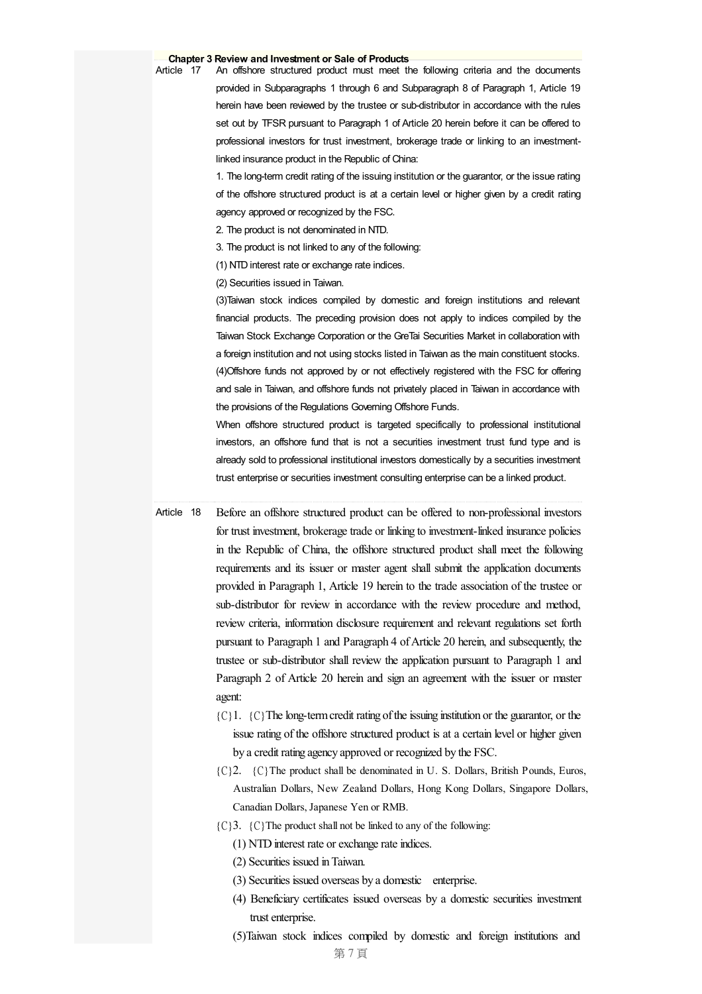## **Chapter 3 Review and Investment or Sale of Products**

An offshore structured product must meet the following criteria and the documents provided in Subparagraphs 1 through 6 and Subparagraph 8 of Paragraph 1, Article 19 herein have been reviewed by the trustee or sub-distributor in accordance with the rules set out by TFSR pursuant to Paragraph 1 of Article 20 herein before it can be offered to professional investors for trust investment, brokerage trade or linking to an investmentlinked insurance product in the Republic of China:

1. The long-term credit rating of the issuing institution or the guarantor, or the issue rating of the offshore structured product is at a certain level or higher given by a credit rating agency approved or recognized by the FSC.

2. The product is not denominated in NTD.

3. The product is not linked to any of the following:

(1) NTD interest rate or exchange rate indices.

(2) Securities issued in Taiwan.

(3)Taiwan stock indices compiled by domestic and foreign institutions and relevant financial products. The preceding provision does not apply to indices compiled by the Taiwan Stock Exchange Corporation or the GreTai Securities Market in collaboration with a foreign institution and not using stocks listed in Taiwan as the main constituent stocks. (4)Offshore funds not approved by or not effectively registered with the FSC for offering and sale in Taiwan, and offshore funds not privately placed in Taiwan in accordance with the provisions of the Regulations Governing Offshore Funds.

When offshore structured product is targeted specifically to professional institutional investors, an offshore fund that is not a securities investment trust fund type and is already sold to professional institutional investors domestically by a securities investment trust enterprise or securities investment consulting enterprise can be a linked product.

Article 18 Before an offshore structured product can be offered to non-professional investors for trust investment, brokerage trade or linking to investment-linked insurance policies in the Republic of China, the offshore structured product shall meet the following requirements and its issuer or master agent shall submit the application documents provided in Paragraph 1, Article 19 herein to the trade association of the trustee or sub-distributor for review in accordance with the review procedure and method, review criteria, information disclosure requirement and relevant regulations set forth pursuant to Paragraph 1 and Paragraph 4 of Article 20 herein, and subsequently, the trustee or sub-distributor shall review the application pursuant to Paragraph 1 and Paragraph 2 of Article 20 herein and sign an agreement with the issuer or master agent:

- ${C}$ 1.  ${C}$  The long-term credit rating of the issuing institution or the guarantor, or the issue rating of the offshore structured product is at a certain level or higher given by acredit rating agency approved or recognized by the FSC.
- {C}2. {C}The product shall be denominated in U. S. Dollars, British Pounds, Euros, Australian Dollars, New Zealand Dollars, Hong Kong Dollars, Singapore Dollars, Canadian Dollars, Japanese Yen or RMB.
- ${C}$  3.  ${C}$  The product shall not be linked to any of the following:
	- $(1)$  NTD interest rate or exchange rate indices.
	- (2) Securities issued inTaiwan.
	- (3) Securities issued overseas by a domestic enterprise.
	- (4) Beneficiary certificates issued overseas by a domestic securities investment trust enterprise.
	- (5)Taiwan stock indices compiled by domestic and foreign institutions and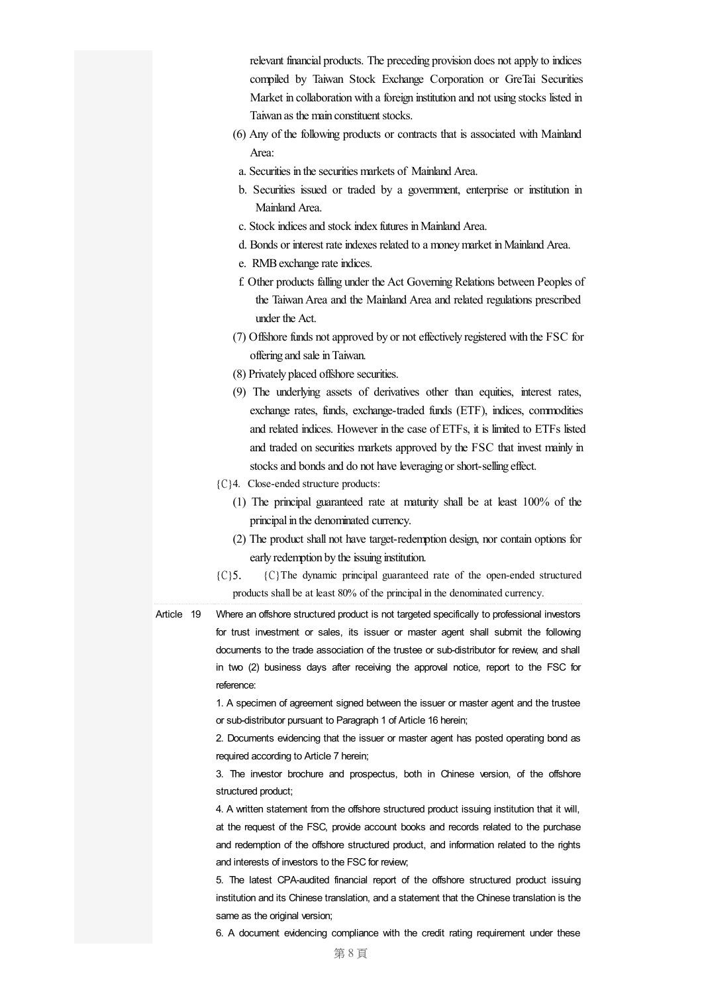relevant financial products. The preceding provision does notapply to indices compiled by Taiwan Stock Exchange Corporation or GreTai Securities Market in collaboration with a foreign institution and not using stocks listed in Taiwan as the main constituent stocks.

- (6) Any of the following products or contracts that is associated with Mainland Area:
	- a. Securities in the securities markets of Mainland Area.
	- b. Securities issued or traded by a government, enterprise or institution in Mainland Area.
- c. Stock indicesand stock index futures inMainland Area.
- d. Bonds or interest rate indexes related to a money market in Mainland Area.
	- e. RMB exchange rate indices.
- f. Other products falling under the Act Governing Relations between Peoples of the Taiwan Area and the Mainland Area and related regulations prescribed under the Act.
- (7) Offshore funds not approved by or not effectively registered with the FSC for offering and sale in Taiwan.
- (8) Privately placed offshore securities.
- (9) The underlying assets of derivatives other than equities, interest rates, exchange rates, funds, exchange-traded funds (ETF), indices, commodities and related indices. However in the case of ETFs, it is limited to ETFs listed and traded on securities markets approved by the FSC that invest mainly in stocks and bonds and do not have leveraging or short-selling effect.
- {C}4. Close-ended structure products:
	- (1) The principal guaranteed rate at maturity shall be at least 100% of the principal in the denominated currency.
	- (2) The product shall not have target-redemption design, nor contain options for early redemption by the issuing institution.
- {C}5. {C}The dynamic principal guaranteed rate of the open-ended structured products shall be at least 80% of the principal in the denominated currency.

Article 19 Where an offshore structured product is not targeted specifically to professional investors for trust investment or sales, its issuer or master agent shall submit the following documents to the trade association of the trustee or sub-distributor for review, and shall in two (2) business days after receiving the approval notice, report to the FSC for reference:

> 1. A specimen of agreement signed between the issuer or master agent and the trustee or sub-distributor pursuant to Paragraph 1 of Article 16 herein;

> 2. Documents evidencing that the issuer or master agent has posted operating bond as required according to Article 7 herein;

> 3. The investor brochure and prospectus, both in Chinese version, of the offshore structured product;

> 4. A written statement from the offshore structured product issuing institution that it will, at the request of the FSC, provide account books and records related to the purchase and redemption of the offshore structured product, and information related to the rights and interests of investors to the FSC for review;

> 5. The latest CPA-audited financial report of the offshore structured product issuing institution and its Chinese translation, and a statement that the Chinese translation is the same as the original version;

> 6. A document evidencing compliance with the credit rating requirement under these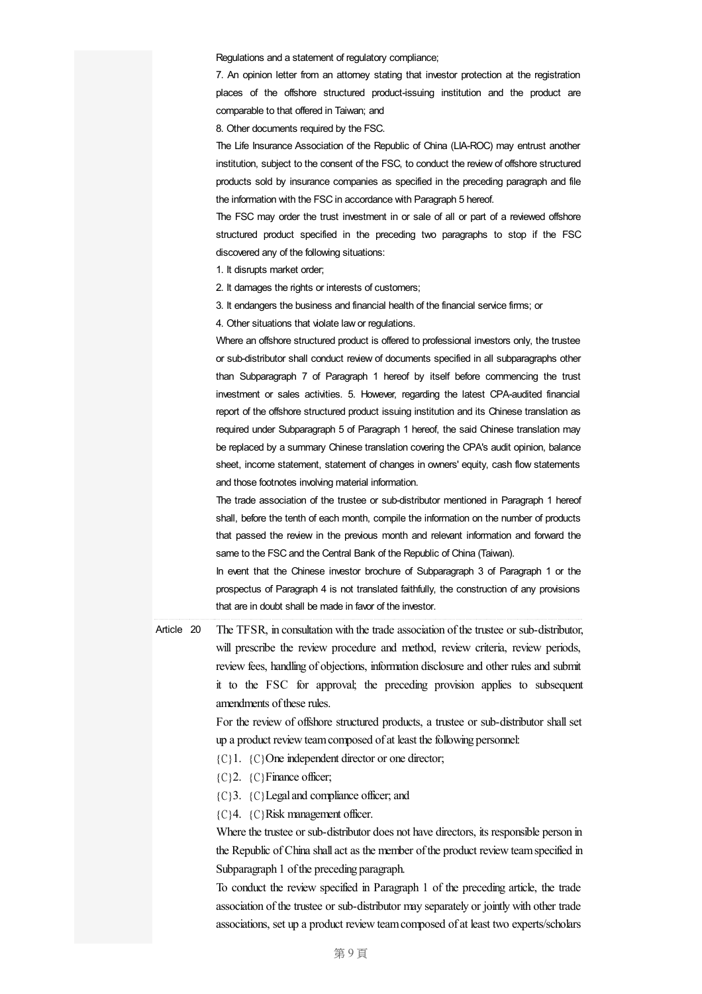Regulations and a statement of regulatory compliance;

7. An opinion letter from an attorney stating that investor protection at the registration places of the offshore structured product-issuing institution and the product are comparable to that offered in Taiwan; and

8. Other documents required by the FSC.

The Life Insurance Association of the Republic of China (LIA-ROC) may entrust another institution, subject to the consent of the FSC, to conduct the review of offshore structured products sold by insurance companies as specified in the preceding paragraph and file the information with the FSC in accordance with Paragraph 5 hereof.

The FSC may order the trust investment in or sale of all or part of a reviewed offshore structured product specified in the preceding two paragraphs to stop if the FSC discovered any of the following situations:

1. It disrupts market order;

2. It damages the rights or interests of customers;

3. It endangers the business and financial health of the financial service firms; or

4. Other situations that violate law or regulations.

Where an offshore structured product is offered to professional investors only, the trustee or sub-distributor shall conduct review of documents specified in all subparagraphs other than Subparagraph 7 of Paragraph 1 hereof by itself before commencing the trust investment or sales activities. 5. However, regarding the latest CPA-audited financial report of the offshore structured product issuing institution and its Chinese translation as required under Subparagraph 5 of Paragraph 1 hereof, the said Chinese translation may be replaced by a summary Chinese translation covering the CPA's audit opinion, balance sheet, income statement, statement of changes in owners' equity, cash flow statements and those footnotes involving material information.

The trade association of the trustee or sub-distributor mentioned in Paragraph 1 hereof shall, before the tenth of each month, compile the information on the number of products that passed the review in the previous month and relevant information and forward the same to the FSC and the Central Bank of the Republic of China (Taiwan).

In event that the Chinese investor brochure of Subparagraph 3 of Paragraph 1 or the prospectus of Paragraph 4 is not translated faithfully, the construction of any provisions that are in doubt shall be made in favor of the investor.

Article 20 The TFSR, in consultation with the trade association of the trustee or sub-distributor, will prescribe the review procedure and method, review criteria, review periods, review fees, handling of objections, information disclosure and other rules and submit it to the FSC for approval; the preceding provision applies to subsequent amendments of these rules.

> For the review of offshore structured products, a trustee or sub-distributor shall set up a product review team composed of at least the following personnel:

- ${C}$ 1.  ${C}$ One independent director or one director;
- ${C}$ ? (C}Finance officer;
- {C}3. {C}Legaland compliance officer;and
- {C}4. {C}Risk management officer.

Where the trustee or sub-distributor does not have directors, its responsible person in the Republic of China shall act as the member of the product review team specified in Subparagraph 1 of the preceding paragraph.

To conduct the review specified in Paragraph 1 of the preceding article, the trade association of the trustee or sub-distributor may separately or jointly with other trade associations, set up a product review team composed of at least two experts/scholars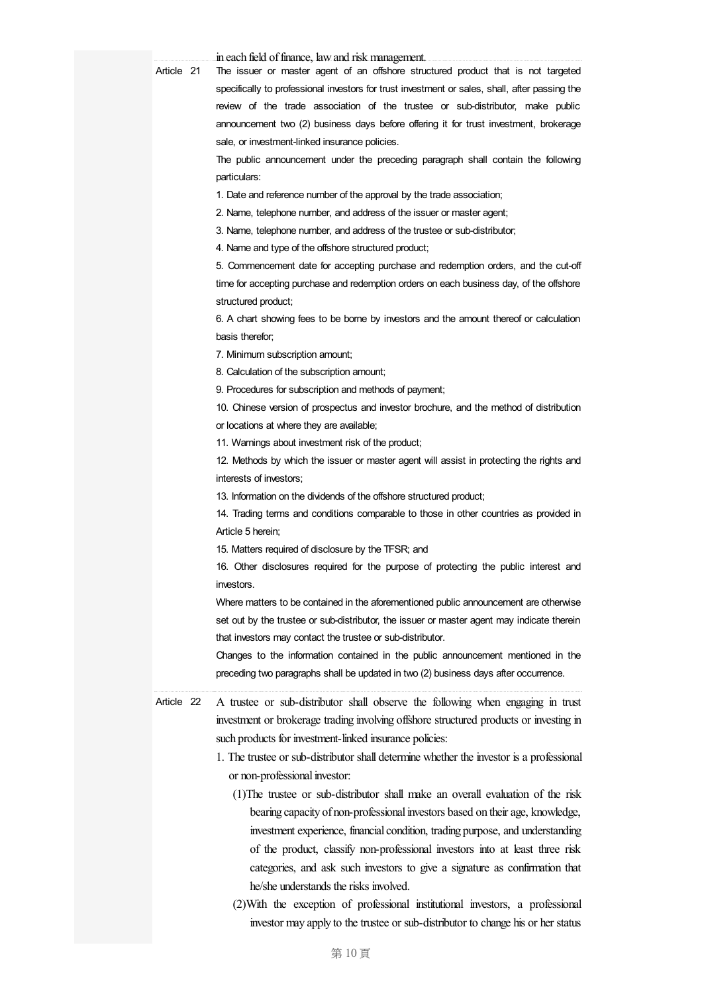| Artiolo | 21 |
|---------|----|

in each field of finance, law and risk management.

Article 21 The issuer or master agent of an offshore structured product that is not targeted specifically to professional investors for trust investment or sales, shall, after passing the review of the trade association of the trustee or sub-distributor, make public announcement two (2) business days before offering it for trust investment, brokerage sale, or investment-linked insurance policies.

> The public announcement under the preceding paragraph shall contain the following particulars:

1. Date and reference number of the approval by the trade association;

2. Name, telephone number, and address of the issuer or master agent;

3. Name, telephone number, and address of the trustee or sub-distributor;

4. Name and type of the offshore structured product;

5. Commencement date for accepting purchase and redemption orders, and the cut-off time for accepting purchase and redemption orders on each business day, of the offshore structured product;

6. A chart showing fees to be borne by investors and the amount thereof or calculation basis therefor;

7. Minimum subscription amount;

8. Calculation of the subscription amount;

9. Procedures for subscription and methods of payment;

10. Chinese version of prospectus and investor brochure, and the method of distribution or locations at where they are available;

11. Warnings about investment risk of the product;

12. Methods by which the issuer or master agent will assist in protecting the rights and interests of investors;

13. Information on the dividends of the offshore structured product;

14. Trading terms and conditions comparable to those in other countries as provided in Article 5 herein;

15. Matters required of disclosure by the TFSR; and

16. Other disclosures required for the purpose of protecting the public interest and investors.

Where matters to be contained in the aforementioned public announcement are otherwise set out by the trustee or sub-distributor, the issuer or master agent may indicate therein that investors may contact the trustee or sub-distributor.

Changes to the information contained in the public announcement mentioned in the preceding two paragraphs shall be updated in two (2) business days after occurrence.

Article 22 A trustee or sub-distributor shall observe the following when engaging in trust investment or brokerage trading involving offshore structured products or investing in such products for investment-linked insurance policies:

- 1. The trustee or sub-distributor shall determine whether the investor is a professional or non-professional investor:
	- (1)The trustee or sub-distributor shall make an overall evaluation of the risk bearing capacity of non-professional investors based on their age, knowledge, investment experience, financial condition, trading purpose, and understanding of the product, classify non-professional investors into at least three risk categories, and ask such investors to give a signature as confirmation that he/she understands the risks involved.
	- (2)With the exception of professional institutional investors, a professional investor may apply to the trustee or sub-distributor to change his or her status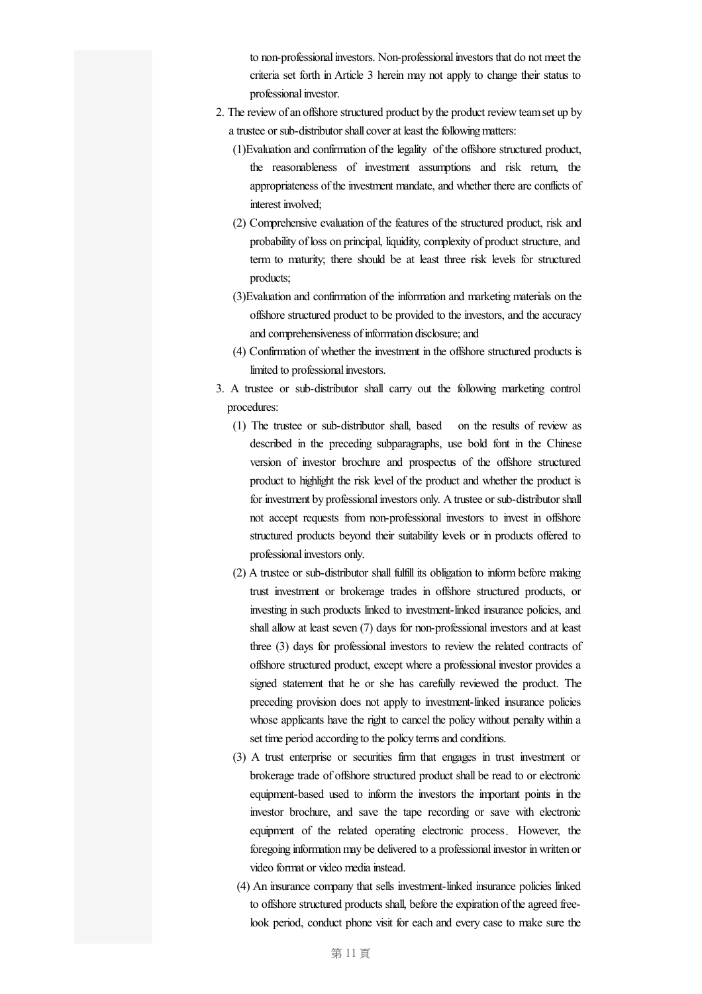to non-professional investors. Non-professional investors that do not meet the criteria set forth in Article 3 herein may not apply to change their status to professional investor.

- 2. The review of an offshore structured product by the product review team set up by a trustee or sub-distributor shall cover at least the following matters:
	- (1)Evaluation and confirmation of the legality of the offshore structured product, the reasonableness of investment assumptions and risk return, the appropriateness of the investment mandate, and whether there are conflicts of interest involved;
	- (2) Comprehensive evaluation of the features of the structured product, risk and probability of loss on principal, liquidity, complexity of product structure, and term to maturity; there should be at least three risk levels for structured products;
	- (3)Evaluation and confirmation of the information and marketing materials on the offshore structured product to be provided to the investors, and the accuracy and comprehensiveness of information disclosure; and
	- (4) Confirmation of whether the investment in the offshore structured products is limited to professional investors.
- 3. A trustee or sub-distributor shall carry out the following marketing control procedures:
	- (1) The trustee or sub-distributor shall, based on the results of review as described in the preceding subparagraphs, use bold font in the Chinese version of investor brochure and prospectus of the offshore structured product to highlight the risk level of the product and whether the product is for investment by professional investors only. A trustee or sub-distributor shall not accept requests from non-professional investors to invest in offshore structured products beyond their suitability levels or in products offered to professional investors only.
	- (2) A trustee or sub-distributor shall fulfill its obligation to informbefore making trust investment or brokerage trades in offshore structured products, or investing in such products linked to investment-linked insurance policies, and shallallow at least seven (7) days for non-professional investors and at least three (3) days for professional investors to review the related contracts of offshore structured product, except where a professional investor provides a signed statement that he or she has carefully reviewed the product. The preceding provision does not apply to investment-linked insurance policies whose applicants have the right to cancel the policy without penalty within a set time period according to the policy terms and conditions.
	- (3) A trust enterprise or securities firm that engages in trust investment or brokerage trade of offshore structured product shall be read to or electronic equipment-based used to inform the investors the important points in the investor brochure, and save the tape recording or save with electronic equipment of the related operating electronic process. However, the foregoing information may be delivered to a professional investor in written or video format or video media instead.
	- (4) An insurance company that sells investment-linked insurance policies linked to offshore structured products shall, before the expiration of the agreed freelook period, conduct phone visit for each and every case to make sure the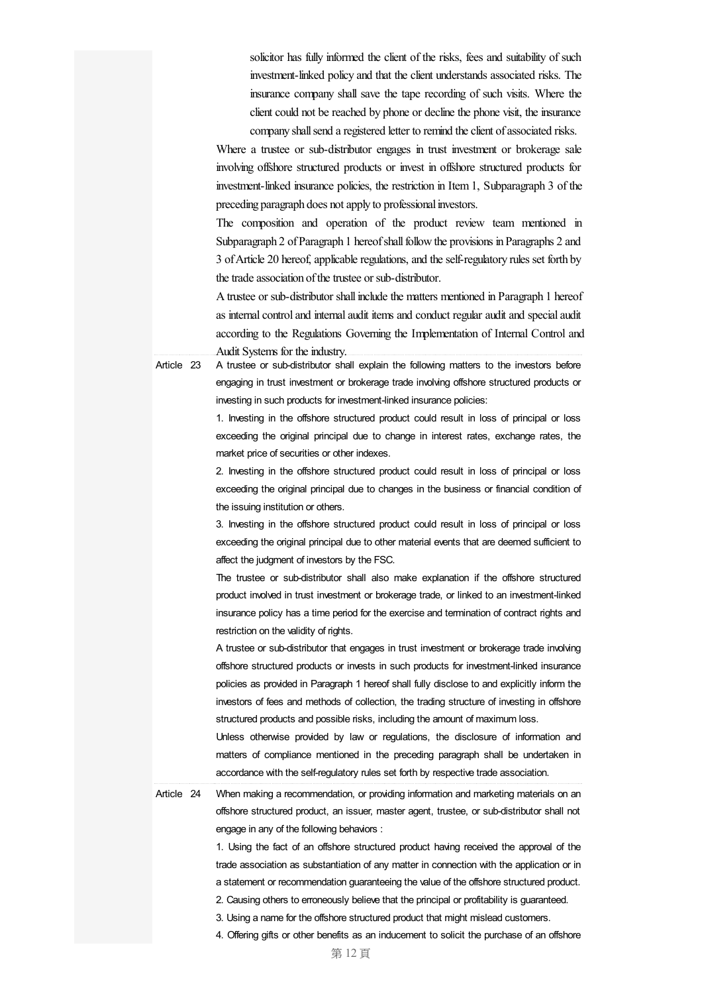solicitor has fully informed the client of the risks, fees and suitability of such investment-linked policy and that the client understands associated risks. The insurance company shall save the tape recording of such visits. Where the client could not be reached by phone or decline the phone visit, the insurance company shall send a registered letter to remind the client of associated risks.

Where a trustee or sub-distributor engages in trust investment or brokerage sale involving offshore structured products or invest in offshore structured products for investment-linked insurance policies, the restriction in Item1, Subparagraph 3 of the preceding paragraph does not apply to professional investors.

The composition and operation of the product review team mentioned in Subparagraph 2 of Paragraph 1 hereof shall follow the provisions in Paragraphs 2 and 3 ofArticle 20 hereof, applicableregulations, and theself-regulatory rules set forth by the trade association of the trustee or sub-distributor.

Atrustee or sub-distributor shall include the matters mentioned in Paragraph 1 hereof as internal control and internal audit items and conduct regular audit and special audit according to the Regulations Governing the Implementation of Internal Control and Audit Systems for the industry.

Article 23 A trustee or sub-distributor shall explain the following matters to the investors before engaging in trust investment or brokerage trade involving offshore structured products or investing in such products for investment-linked insurance policies:

> 1. Investing in the offshore structured product could result in loss of principal or loss exceeding the original principal due to change in interest rates, exchange rates, the market price of securities or other indexes.

> 2. Investing in the offshore structured product could result in loss of principal or loss exceeding the original principal due to changes in the business or financial condition of the issuing institution or others.

> 3. Investing in the offshore structured product could result in loss of principal or loss exceeding the original principal due to other material events that are deemed sufficient to affect the judgment of investors by the FSC.

> The trustee or sub-distributor shall also make explanation if the offshore structured product involved in trust investment or brokerage trade, or linked to an investment-linked insurance policy has a time period for the exercise and termination of contract rights and restriction on the validity of rights.

> A trustee or sub-distributor that engages in trust investment or brokerage trade involving offshore structured products or invests in such products for investment-linked insurance policies as provided in Paragraph 1 hereof shall fully disclose to and explicitly inform the investors of fees and methods of collection, the trading structure of investing in offshore structured products and possible risks, including the amount of maximum loss.

> Unless otherwise provided by law or regulations, the disclosure of information and matters of compliance mentioned in the preceding paragraph shall be undertaken in accordance with the self-regulatory rules set forth by respective trade association.

Article 24 When making a recommendation, or providing information and marketing materials on an offshore structured product, an issuer, master agent, trustee, or sub-distributor shall not engage in any of the following behaviors :

> 1. Using the fact of an offshore structured product having received the approval of the trade association as substantiation of any matter in connection with the application or in a statement or recommendation guaranteeing the value of the offshore structured product.

2. Causing others to erroneously believe that the principal or profitability is guaranteed.

- 3. Using a name for the offshore structured product that might mislead customers.
- 4. Offering gifts or other benefits as an inducement to solicit the purchase of an offshore